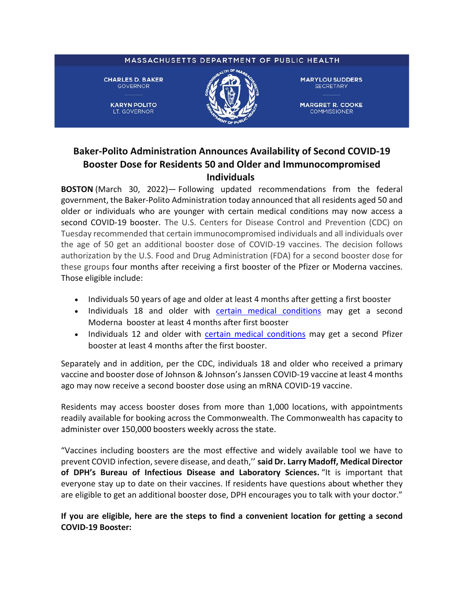## MASSACHUSETTS DEPARTMENT OF PUBLIC HEALTH **CHARLES D. BAKER MARYLOU SUDDERS GOVERNOR SECRETARY KARYN POLITO MARGRET R. COOKE** LT. GOVERNOR **COMMISSIONER**

## **Baker-Polito Administration Announces Availability of Second COVID-19 Booster Dose for Residents 50 and Older and Immunocompromised Individuals**

**BOSTON** (March 30, 2022)— Following updated recommendations from the federal government, the Baker-Polito Administration today announced that all residents aged 50 and older or individuals who are younger with certain medical conditions may now access a second COVID-19 booster. The U.S. Centers for Disease Control and Prevention (CDC) on Tuesday recommended that certain immunocompromised individuals and all individuals over the age of 50 get an additional booster dose of COVID-19 vaccines. The decision follows authorization by the U.S. Food and Drug Administration (FDA) for a second booster dose for these groups four months after receiving a first booster of the Pfizer or Moderna vaccines. Those eligible include:

- Individuals 50 years of age and older at least 4 months after getting a first booster
- Individuals 18 and older with [certain medical conditions](https://www.cdc.gov/coronavirus/2019-ncov/vaccines/recommendations/immuno.html?s_cid=10483:immunocompromised%20and%20covid%20vaccine:sem.ga:p:RG:GM:gen:PTN:FY21#mod) may get a second Moderna booster at least 4 months after first booster
- Individuals 12 and older with [certain medical conditions](https://www.cdc.gov/coronavirus/2019-ncov/vaccines/recommendations/immuno.html?s_cid=10483:immunocompromised%20and%20covid%20vaccine:sem.ga:p:RG:GM:gen:PTN:FY21#mod) may get a second Pfizer booster at least 4 months after the first booster.

Separately and in addition, per the CDC, individuals 18 and older who received a primary vaccine and booster dose of Johnson & Johnson's Janssen COVID-19 vaccine at least 4 months ago may now receive a second booster dose using an mRNA COVID-19 vaccine.

Residents may access booster doses from more than 1,000 locations, with appointments readily available for booking across the Commonwealth. The Commonwealth has capacity to administer over 150,000 boosters weekly across the state.

"Vaccines including boosters are the most effective and widely available tool we have to prevent COVID infection, severe disease, and death,'' **said Dr. Larry Madoff, Medical Director of DPH's Bureau of Infectious Disease and Laboratory Sciences.** "It is important that everyone stay up to date on their vaccines. If residents have questions about whether they are eligible to get an additional booster dose, DPH encourages you to talk with your doctor."

**If you are eligible, here are the steps to find a convenient location for getting a second COVID-19 Booster:**